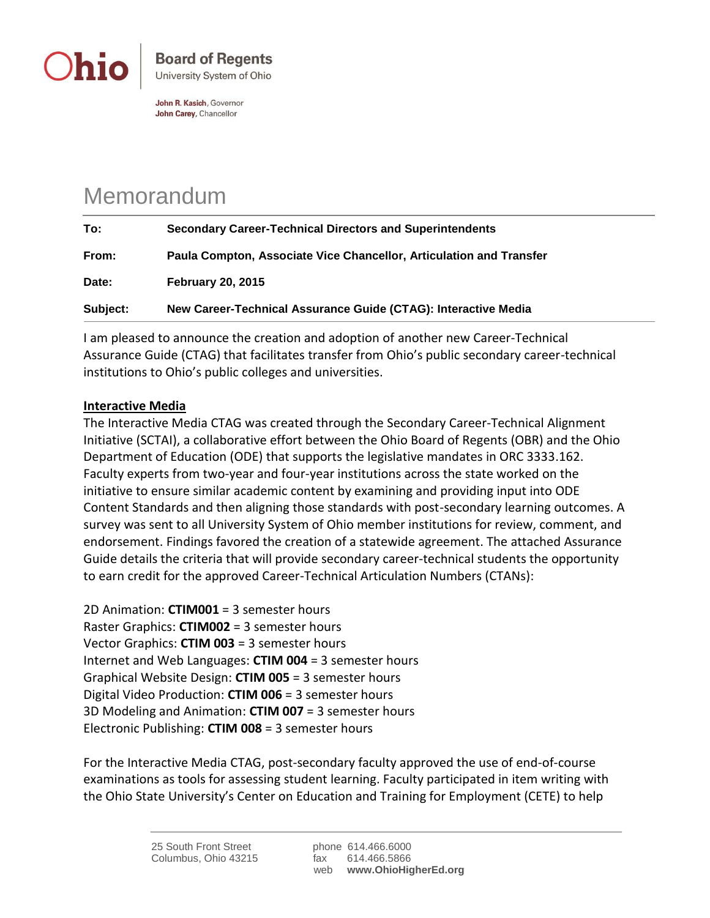

John R. Kasich, Governor John Carey, Chancellor

## Memorandum

| To:      | <b>Secondary Career-Technical Directors and Superintendents</b>     |
|----------|---------------------------------------------------------------------|
| From:    | Paula Compton, Associate Vice Chancellor, Articulation and Transfer |
| Date:    | <b>February 20, 2015</b>                                            |
| Subject: | New Career-Technical Assurance Guide (CTAG): Interactive Media      |

I am pleased to announce the creation and adoption of another new Career-Technical Assurance Guide (CTAG) that facilitates transfer from Ohio's public secondary career-technical institutions to Ohio's public colleges and universities.

## **Interactive Media**

The Interactive Media CTAG was created through the Secondary Career-Technical Alignment Initiative (SCTAI), a collaborative effort between the Ohio Board of Regents (OBR) and the Ohio Department of Education (ODE) that supports the legislative mandates in ORC 3333.162. Faculty experts from two-year and four-year institutions across the state worked on the initiative to ensure similar academic content by examining and providing input into ODE Content Standards and then aligning those standards with post-secondary learning outcomes. A survey was sent to all University System of Ohio member institutions for review, comment, and endorsement. Findings favored the creation of a statewide agreement. The attached Assurance Guide details the criteria that will provide secondary career-technical students the opportunity to earn credit for the approved Career-Technical Articulation Numbers (CTANs):

2D Animation: **CTIM001** = 3 semester hours Raster Graphics: **CTIM002** = 3 semester hours Vector Graphics: **CTIM 003** = 3 semester hours Internet and Web Languages: **CTIM 004** = 3 semester hours Graphical Website Design: **CTIM 005** = 3 semester hours Digital Video Production: **CTIM 006** = 3 semester hours 3D Modeling and Animation: **CTIM 007** = 3 semester hours Electronic Publishing: **CTIM 008** = 3 semester hours

For the Interactive Media CTAG, post-secondary faculty approved the use of end-of-course examinations as tools for assessing student learning. Faculty participated in item writing with the Ohio State University's Center on Education and Training for Employment (CETE) to help